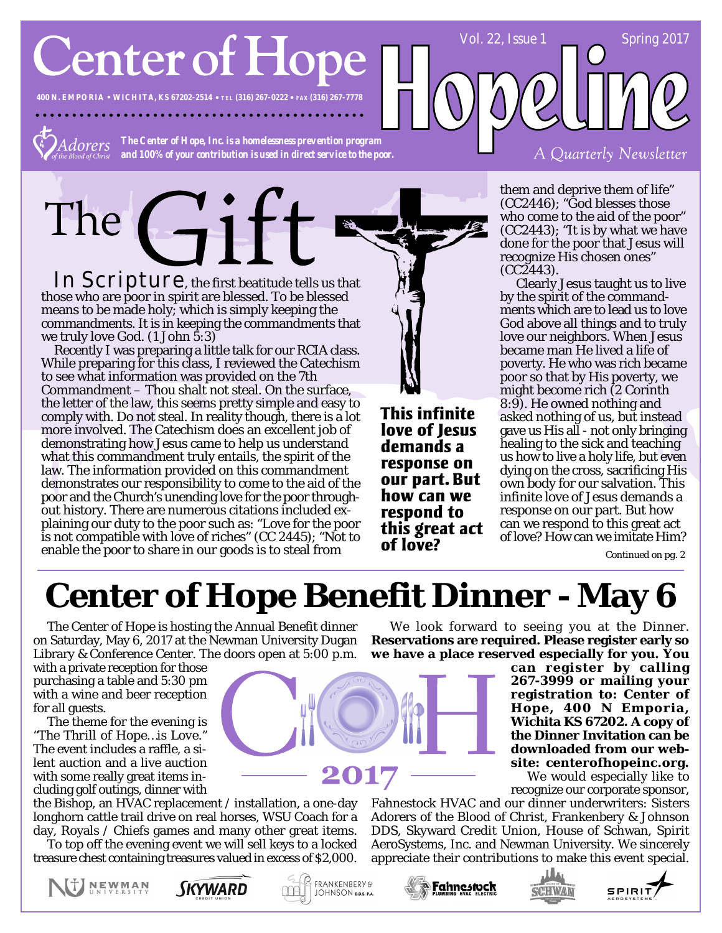**Center of Hope** 

**400 N. EMPORIA WICHITA, KS 67202-2514 TEL (316) 267-0222 FAX (316) 267-7778**

*The Center of Hope, Inc. is a homelessness prevention program* dorers *and 100% of your contribution is used in direct service to the poor.*

In Scripture, the first beatitude tells us that those who are poor in spirit are blessed. To be blessed means to be made holy; which is simply keeping the commandments. It is in keeping the commandments that we truly love God. (1 John 5:3)

 $\overline{G}$ 

Recently I was preparing a little talk for our RCIA class. While preparing for this class, I reviewed the Catechism to see what information was provided on the 7th Commandment – Thou shalt not steal. On the surface, the letter of the law, this seems pretty simple and easy to comply with. Do not steal. In reality though, there is a lot more involved. The Catechism does an excellent job of demonstrating how Jesus came to help us understand what this commandment truly entails, the spirit of the law. The information provided on this commandment demonstrates our responsibility to come to the aid of the poor and the Church's unending love for the poor throughout history. There are numerous citations included explaining our duty to the poor such as: "Love for the poor is not compatible with love of riches" (CC 2445); "Not to is not compatible with love of ficties  $(CC 2443)$ , in the contract of **love?**<br>enable the poor to share in our goods is to steal from **of love?** 

This infinite love of Jesus demands a response on our part. But how can we respond to this great act them and deprive them of life" (CC2446); "God blesses those who come to the aid of the poor" (CC2443); "It is by what we have done for the poor that Jesus will recognize His chosen ones" (CC2443).

A Quarterly Newsletter

Vol. 22, Issue 1 Spring 2017

 Clearly Jesus taught us to live by the spirit of the commandments which are to lead us to love God above all things and to truly love our neighbors. When Jesus became man He lived a life of poverty. He who was rich became poor so that by His poverty, we might become rich (2 Corinth 8:9). He owned nothing and asked nothing of us, but instead gave us His all - not only bringing healing to the sick and teaching us how to live a holy life, but even dying on the cross, sacrificing His own body for our salvation. This infinite love of Jesus demands a response on our part. But how can we respond to this great act of love? How can we imitate Him?

# **Center of Hope Benefit Dinner - May 6**

The Center of Hope is hosting the Annual Benefit dinner on Saturday, May 6, 2017 at the Newman University Dugan Library & Conference Center. The doors open at 5:00 p.m.

with a private reception for those purchasing a table and 5:30 pm with a wine and beer reception for all guests.

The theme for the evening is *"The Thrill of Hope…is Love."* The event includes a raffle, a silent auction and a live auction with some really great items including golf outings, dinner with

the Bishop, an HVAC replacement / installation, a one-day longhorn cattle trail drive on real horses, WSU Coach for a day, Royals / Chiefs games and many other great items.

To top off the evening event we will sell keys to a locked treasure chest containing treasures valued in excess of \$2,000.







**PFRANKENBERY&** 

JOHNSON D.D.S. P.A.

**can register by calling 267-3999 or mailing your registration to: Center of Hope, 400 N Emporia, Wichita KS 67202. A copy of the Dinner Invitation can be downloaded from our website: centerofhopeinc.org.**

We would especially like to recognize our corporate sponsor,

Fahnestock HVAC and our dinner underwriters: Sisters Adorers of the Blood of Christ, Frankenbery & Johnson DDS, Skyward Credit Union, House of Schwan, Spirit AeroSystems, Inc. and Newman University. We sincerely appreciate their contributions to make this event special.

We look forward to seeing you at the Dinner. **Reservations are required. Please register early so we have a place reserved especially for you. You**





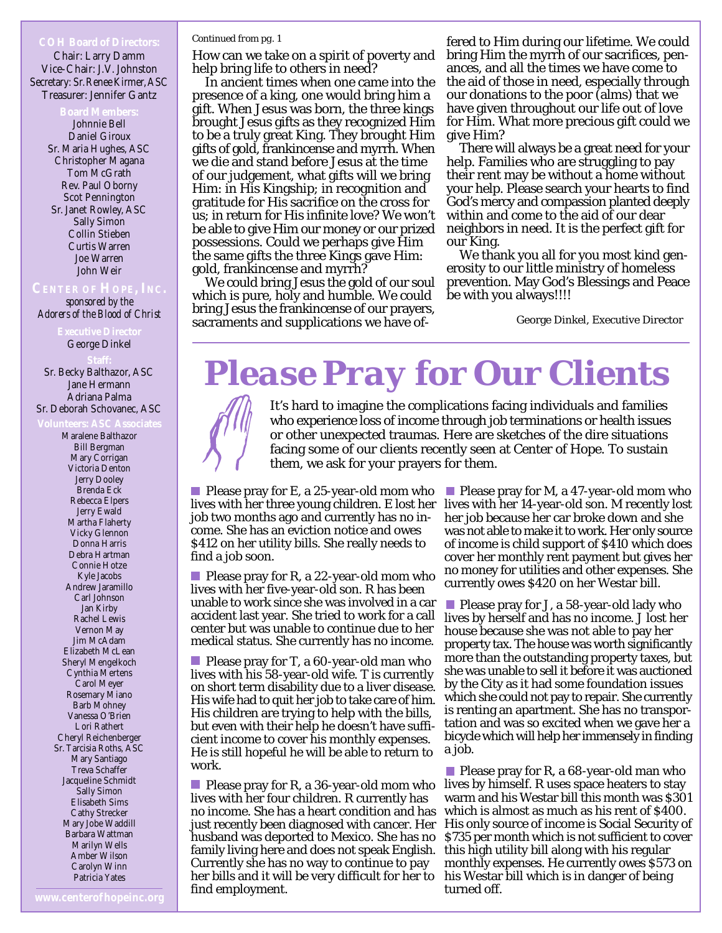Chair: Larry Damm Vice-Chair: J.V. Johnston Secretary: Sr. Renee Kirmer, ASC Treasurer: Jennifer Gantz

> Johnnie Bell Daniel Giroux Sr. Maria Hughes, ASC Christopher Magana Tom McGrath Rev. Paul Oborny Scot Pennington Sr. Janet Rowley, ASC Sally Simon Collin Stieben Curtis Warren Joe Warren John Weir

*sponsored by the Adorers of the Blood of Christ*

George Dinkel

Sr. Becky Balthazor, ASC Jane Hermann Adriana Palma

Sr. Deborah Schovanec, ASC

Maralene Balthazor Bill Bergman Mary Corrigan Victoria Denton Jerry Dooley Brenda Eck Rebecca Elpers Jerry Ewald Martha Flaherty Vicky Glennon Donna Harris Debra Hartman Connie Hotze Kyle Jacobs Andrew Jaramillo Carl Johnson Jan Kirby Rachel Lewis Vernon May Jim McAdam Elizabeth McLean Sheryl Mengelkoch Cynthia Mertens Carol Meyer Rosemary Miano Barb Mohney Vanessa O'Brien Lori Rathert Cheryl Reichenberger Sr. Tarcisia Roths, ASC Mary Santiago Treva Schaffer Jacqueline Schmidt Sally Simon Elisabeth Sims Cathy Strecker Mary Jobe Waddill Barbara Wattman Marilyn Wells Amber Wilson Carolyn Winn Patricia Yates

### *Continued from pg. 1*

How can we take on a spirit of poverty and help bring life to others in need?

In ancient times when one came into the presence of a king, one would bring him a gift. When Jesus was born, the three kings brought Jesus gifts as they recognized Him to be a truly great King. They brought Him gifts of gold, frankincense and myrrh. When we die and stand before Jesus at the time of our judgement, what gifts will we bring Him: in His Kingship; in recognition and gratitude for His sacrifice on the cross for us; in return for His infinite love? We won't be able to give Him our money or our prized possessions. Could we perhaps give Him the same gifts the three Kings gave Him: gold, frankincense and myrrh?

We could bring Jesus the gold of our soul which is pure, holy and humble. We could bring Jesus the frankincense of our prayers, sacraments and supplications we have of-

fered to Him during our lifetime. We could bring Him the myrrh of our sacrifices, penances, and all the times we have come to the aid of those in need, especially through our donations to the poor (alms) that we have given throughout our life out of love for Him. What more precious gift could we give Him?

There will always be a great need for your help. Families who are struggling to pay their rent may be without a home without your help. Please search your hearts to find God's mercy and compassion planted deeply within and come to the aid of our dear neighbors in need. It is the perfect gift for our King.

We thank you all for you most kind generosity to our little ministry of homeless prevention. May God's Blessings and Peace be with you always!!!!

George Dinkel, Executive Director

# *Please Pray for Our Clients*

It's hard to imagine the complications facing individuals and families who experience loss of income through job terminations or health issues or other unexpected traumas. Here are sketches of the dire situations facing some of our clients recently seen at Center of Hope. To sustain them, we ask for your prayers for them.

**Please pray for E, a 25-year-old mom who** job two months ago and currently has no income. She has an eviction notice and owes \$412 on her utility bills. She really needs to find a job soon.

**Please pray for R, a 22-year-old mom who** lives with her five-year-old son. R has been unable to work since she was involved in a car accident last year. She tried to work for a call center but was unable to continue due to her medical status. She currently has no income.

**Please pray for T, a 60-year-old man who** lives with his 58-year-old wife. T is currently on short term disability due to a liver disease. His wife had to quit her job to take care of him. His children are trying to help with the bills, but even with their help he doesn't have sufficient income to cover his monthly expenses. He is still hopeful he will be able to return to work.

**Please pray for R, a 36-year-old mom who** lives with her four children. R currently has husband was deported to Mexico. She has no family living here and does not speak English. Currently she has no way to continue to pay her bills and it will be very difficult for her to find employment.

lives with her three young children. E lost her lives with her 14-year-old son. M recently lost **Please pray for M, a 47-year-old mom who** her job because her car broke down and she was not able to make it to work. Her only source of income is child support of \$410 which does cover her monthly rent payment but gives her no money for utilities and other expenses. She currently owes \$420 on her Westar bill.

> **Please pray for J, a 58-year-old lady who** lives by herself and has no income. J lost her house because she was not able to pay her property tax. The house was worth significantly more than the outstanding property taxes, but she was unable to sell it before it was auctioned by the City as it had some foundation issues which she could not pay to repair. She currently is renting an apartment. She has no transportation and was so excited when we gave her a bicycle which will help her immensely in finding a job.

no income. She has a heart condition and has which is almost as much as his rent of \$400. just recently been diagnosed with cancer. Her His only source of income is Social Security of **Please pray for R, a 68-year-old man who** lives by himself. R uses space heaters to stay warm and his Westar bill this month was \$301 \$735 per month which is not sufficient to cover this high utility bill along with his regular monthly expenses. He currently owes \$573 on his Westar bill which is in danger of being turned off.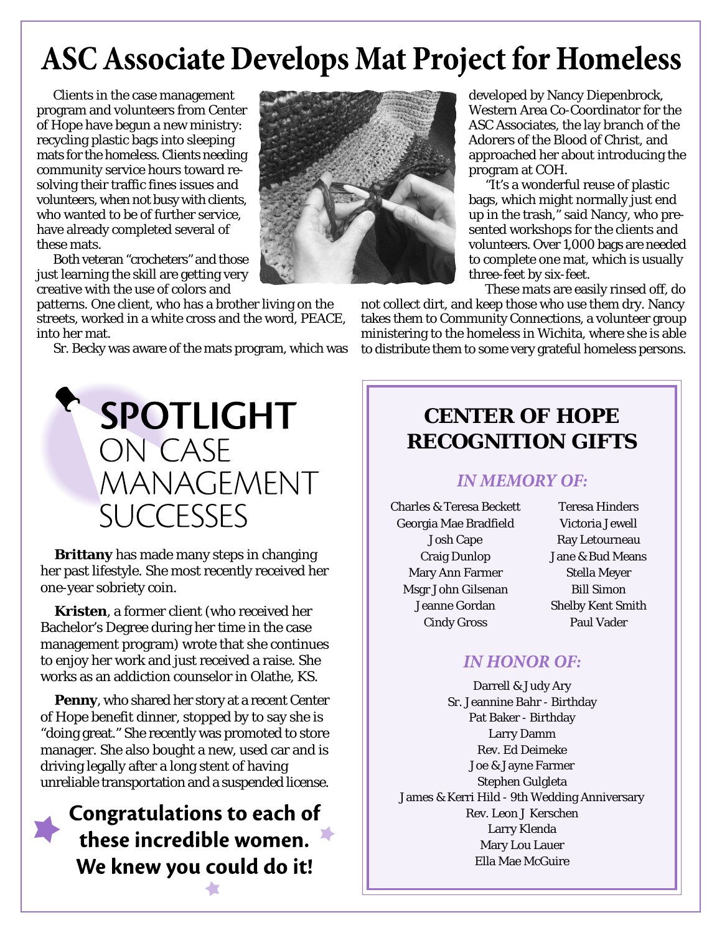# **ASC Associate Develops Mat Project for Homeless**

Clients in the case management program and volunteers from Center of Hope have begun a new ministry: recycling plastic bags into sleeping mats for the homeless. Clients needing community service hours toward resolving their traffic fines issues and volunteers, when not busy with clients, who wanted to be of further service, have already completed several of these mats.

Both veteran "crocheters" and those just learning the skill are getting very creative with the use of colors and

patterns. One client, who has a brother living on the streets, worked in a white cross and the word, PEACE, into her mat.

Sr. Becky was aware of the mats program, which was



**Brittany** has made many steps in changing her past lifestyle. She most recently received her one-year sobriety coin.

**Kristen**, a former client (who received her Bachelor's Degree during her time in the case management program) wrote that she continues to enjoy her work and just received a raise. She works as an addiction counselor in Olathe, KS.

**Penny**, who shared her story at a recent Center of Hope benefit dinner, stopped by to say she is "doing great." She recently was promoted to store manager. She also bought a new, used car and is driving legally after a long stent of having unreliable transportation and a suspended license.

## **Congratulations to each of** these incredible women. We knew you could do it!



developed by Nancy Diepenbrock, Western Area Co-Coordinator for the ASC Associates, the lay branch of the Adorers of the Blood of Christ, and approached her about introducing the program at COH.

"It's a wonderful reuse of plastic bags, which might normally just end up in the trash," said Nancy, who presented workshops for the clients and volunteers. Over 1,000 bags are needed to complete one mat, which is usually three-feet by six-feet.

These mats are easily rinsed off, do

not collect dirt, and keep those who use them dry. Nancy takes them to Community Connections, a volunteer group ministering to the homeless in Wichita, where she is able to distribute them to some very grateful homeless persons.

## **CENTER OF HOPE RECOGNITION GIFTS**

### **IN MEMORY OF:**

Charles & Teresa Beckett Georgia Mae Bradfield Josh Cape Craig Dunlop Mary Ann Farmer Msgr John Gilsenan Jeanne Gordan Cindy Gross

Teresa Hinders Victoria Jewell Ray Letourneau Jane & Bud Means Stella Meyer Bill Simon Shelby Kent Smith Paul Vader

## **IN HONOR OF:**

Darrell & Judy Ary Sr. Jeannine Bahr - Birthday Pat Baker - Birthday Larry Damm Rev. Ed Deimeke Joe & Jayne Farmer Stephen Gulgleta James & Kerri Hild - 9th Wedding Anniversary Rev. Leon J Kerschen Larry Klenda Mary Lou Lauer Ella Mae McGuire